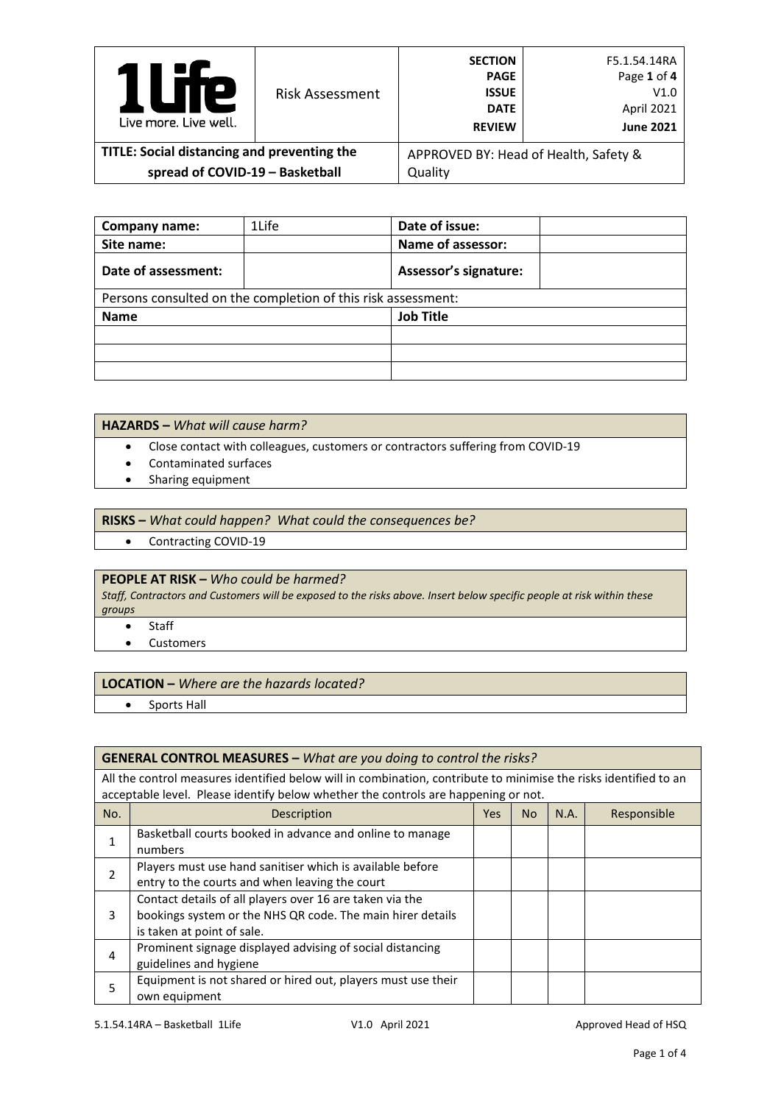| Р<br>Live more, Live well.                  | <b>Risk Assessment</b> | <b>SECTION</b><br><b>PAGE</b><br><b>ISSUE</b><br><b>DATE</b><br><b>REVIEW</b> | F5.1.54.14RA<br>Page 1 of 4<br>V1.0<br>April 2021<br><b>June 2021</b> |
|---------------------------------------------|------------------------|-------------------------------------------------------------------------------|-----------------------------------------------------------------------|
| TITLE: Social distancing and preventing the |                        | APPROVED BY: Head of Health, Safety &                                         |                                                                       |
| spread of COVID-19 - Basketball             |                        | Quality                                                                       |                                                                       |

| Company name:       | 1Life                                                        | Date of issue:               |
|---------------------|--------------------------------------------------------------|------------------------------|
| Site name:          |                                                              | Name of assessor:            |
| Date of assessment: |                                                              | <b>Assessor's signature:</b> |
|                     | Persons consulted on the completion of this risk assessment: |                              |
| <b>Name</b>         |                                                              | <b>Job Title</b>             |
|                     |                                                              |                              |
|                     |                                                              |                              |
|                     |                                                              |                              |

### **HAZARDS –** *What will cause harm?*

- Close contact with colleagues, customers or contractors suffering from COVID-19
- Contaminated surfaces
- Sharing equipment

#### **RISKS –** *What could happen? What could the consequences be?*

• Contracting COVID-19

## **PEOPLE AT RISK –** *Who could be harmed?*

*Staff, Contractors and Customers will be exposed to the risks above. Insert below specific people at risk within these groups*

- Staff
- Customers

#### **LOCATION –** *Where are the hazards located?*

• Sports Hall

#### **GENERAL CONTROL MEASURES –** *What are you doing to control the risks?*

All the control measures identified below will in combination, contribute to minimise the risks identified to an acceptable level. Please identify below whether the controls are happening or not.

| No. | Description                                                  | Yes. | N <sub>o</sub> | N.A. | Responsible |
|-----|--------------------------------------------------------------|------|----------------|------|-------------|
|     | Basketball courts booked in advance and online to manage     |      |                |      |             |
|     | numbers                                                      |      |                |      |             |
|     | Players must use hand sanitiser which is available before    |      |                |      |             |
|     | entry to the courts and when leaving the court               |      |                |      |             |
|     | Contact details of all players over 16 are taken via the     |      |                |      |             |
| 3   | bookings system or the NHS QR code. The main hirer details   |      |                |      |             |
|     | is taken at point of sale.                                   |      |                |      |             |
| 4   | Prominent signage displayed advising of social distancing    |      |                |      |             |
|     | guidelines and hygiene                                       |      |                |      |             |
|     | Equipment is not shared or hired out, players must use their |      |                |      |             |
|     | own equipment                                                |      |                |      |             |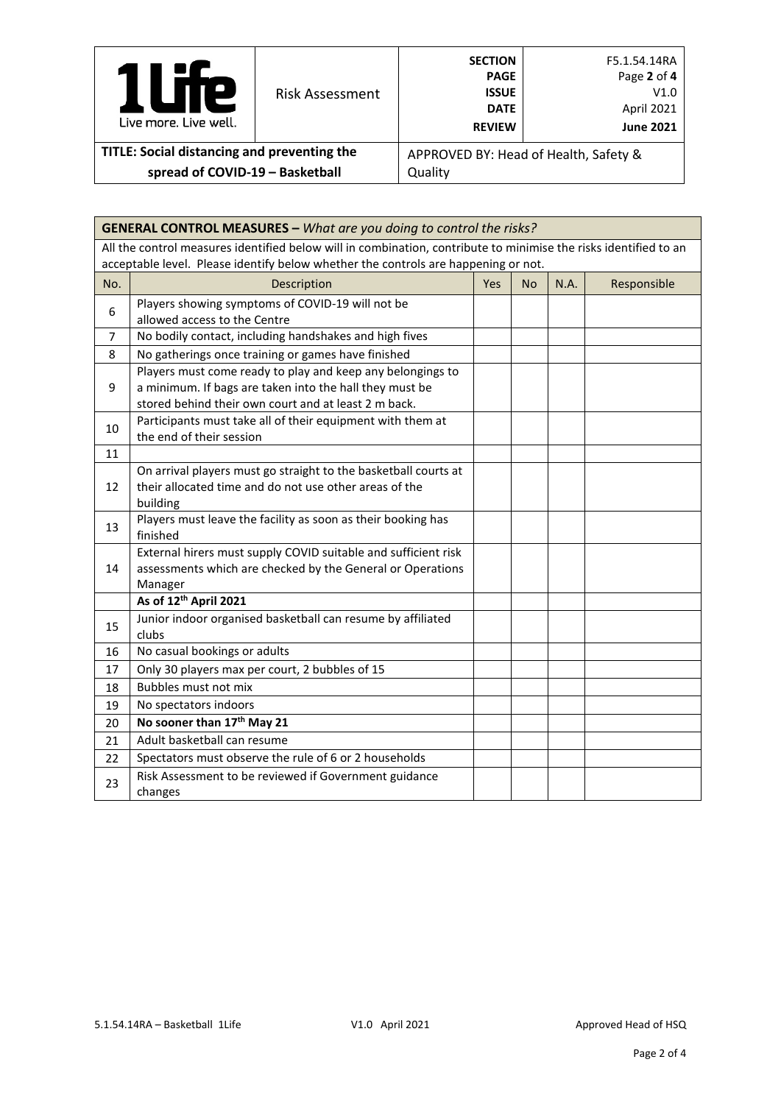| <b>P</b><br>Live more, Live well.           | <b>Risk Assessment</b> | <b>SECTION</b><br><b>PAGE</b><br><b>ISSUE</b><br><b>DATE</b><br><b>REVIEW</b> | F5.1.54.14RA<br>Page 2 of 4<br>V1.0<br>April 2021<br><b>June 2021</b> |
|---------------------------------------------|------------------------|-------------------------------------------------------------------------------|-----------------------------------------------------------------------|
| TITLE: Social distancing and preventing the |                        |                                                                               | APPROVED BY: Head of Health, Safety &                                 |
| spread of COVID-19 - Basketball             |                        | Quality                                                                       |                                                                       |

|                                                                                                                  | <b>GENERAL CONTROL MEASURES - What are you doing to control the risks?</b>         |     |           |      |             |  |
|------------------------------------------------------------------------------------------------------------------|------------------------------------------------------------------------------------|-----|-----------|------|-------------|--|
| All the control measures identified below will in combination, contribute to minimise the risks identified to an |                                                                                    |     |           |      |             |  |
|                                                                                                                  | acceptable level. Please identify below whether the controls are happening or not. |     |           |      |             |  |
| No.                                                                                                              | Description                                                                        | Yes | <b>No</b> | N.A. | Responsible |  |
| 6                                                                                                                | Players showing symptoms of COVID-19 will not be                                   |     |           |      |             |  |
|                                                                                                                  | allowed access to the Centre                                                       |     |           |      |             |  |
| 7                                                                                                                | No bodily contact, including handshakes and high fives                             |     |           |      |             |  |
| 8                                                                                                                | No gatherings once training or games have finished                                 |     |           |      |             |  |
|                                                                                                                  | Players must come ready to play and keep any belongings to                         |     |           |      |             |  |
| 9                                                                                                                | a minimum. If bags are taken into the hall they must be                            |     |           |      |             |  |
|                                                                                                                  | stored behind their own court and at least 2 m back.                               |     |           |      |             |  |
| 10                                                                                                               | Participants must take all of their equipment with them at                         |     |           |      |             |  |
|                                                                                                                  | the end of their session                                                           |     |           |      |             |  |
| 11                                                                                                               |                                                                                    |     |           |      |             |  |
|                                                                                                                  | On arrival players must go straight to the basketball courts at                    |     |           |      |             |  |
| 12                                                                                                               | their allocated time and do not use other areas of the                             |     |           |      |             |  |
|                                                                                                                  | building                                                                           |     |           |      |             |  |
| 13                                                                                                               | Players must leave the facility as soon as their booking has<br>finished           |     |           |      |             |  |
|                                                                                                                  | External hirers must supply COVID suitable and sufficient risk                     |     |           |      |             |  |
| 14                                                                                                               | assessments which are checked by the General or Operations                         |     |           |      |             |  |
|                                                                                                                  | Manager                                                                            |     |           |      |             |  |
|                                                                                                                  | As of 12 <sup>th</sup> April 2021                                                  |     |           |      |             |  |
| 15                                                                                                               | Junior indoor organised basketball can resume by affiliated<br>clubs               |     |           |      |             |  |
| 16                                                                                                               | No casual bookings or adults                                                       |     |           |      |             |  |
| 17                                                                                                               | Only 30 players max per court, 2 bubbles of 15                                     |     |           |      |             |  |
| 18                                                                                                               | Bubbles must not mix                                                               |     |           |      |             |  |
| 19                                                                                                               | No spectators indoors                                                              |     |           |      |             |  |
| 20                                                                                                               | No sooner than 17 <sup>th</sup> May 21                                             |     |           |      |             |  |
| 21                                                                                                               | Adult basketball can resume                                                        |     |           |      |             |  |
| 22                                                                                                               | Spectators must observe the rule of 6 or 2 households                              |     |           |      |             |  |
| 23                                                                                                               | Risk Assessment to be reviewed if Government guidance                              |     |           |      |             |  |
|                                                                                                                  | changes                                                                            |     |           |      |             |  |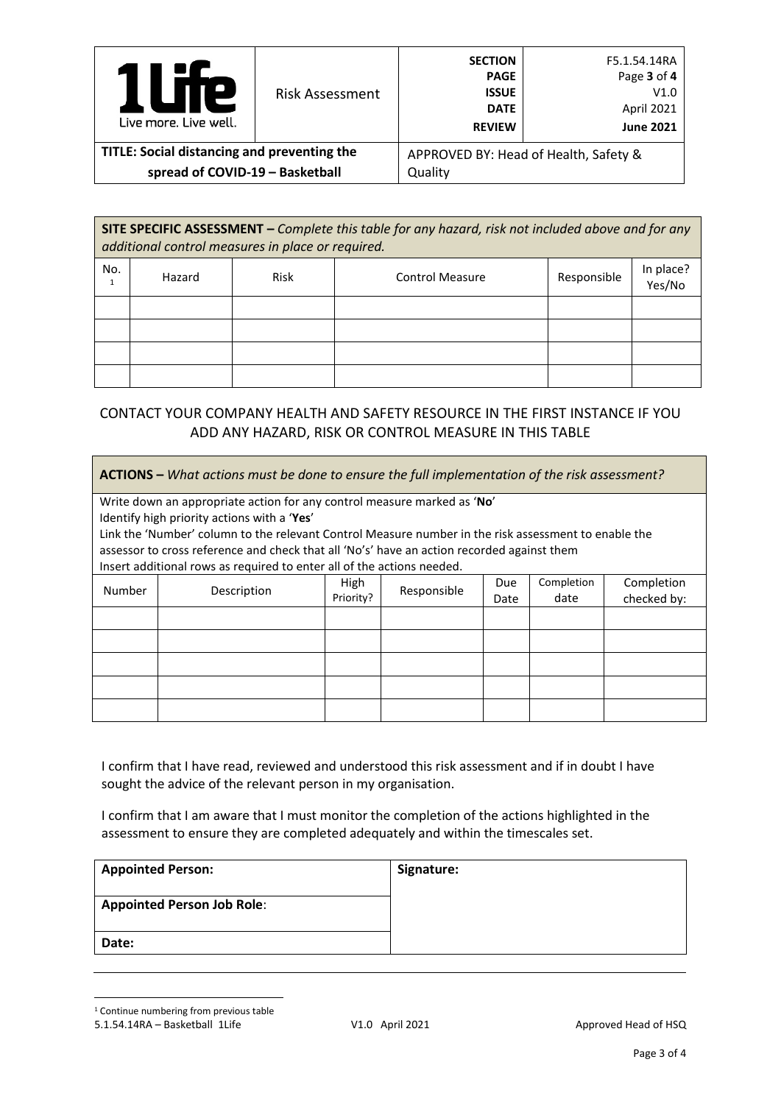| Р<br>Live more, Live well.                  | <b>Risk Assessment</b> | <b>SECTION</b><br><b>PAGE</b><br><b>ISSUE</b><br><b>DATE</b><br><b>REVIEW</b> | F5.1.54.14RA<br>Page 3 of 4<br>V1.0<br>April 2021<br><b>June 2021</b> |  |
|---------------------------------------------|------------------------|-------------------------------------------------------------------------------|-----------------------------------------------------------------------|--|
| TITLE: Social distancing and preventing the |                        | APPROVED BY: Head of Health, Safety &                                         |                                                                       |  |
| spread of COVID-19 - Basketball             |                        | Quality                                                                       |                                                                       |  |

**SITE SPECIFIC ASSESSMENT –** *Complete this table for any hazard, risk not included above and for any additional control measures in place or required.*

| No. | Hazard | Risk | <b>Control Measure</b> | Responsible | In place?<br>Yes/No |
|-----|--------|------|------------------------|-------------|---------------------|
|     |        |      |                        |             |                     |
|     |        |      |                        |             |                     |
|     |        |      |                        |             |                     |
|     |        |      |                        |             |                     |

# CONTACT YOUR COMPANY HEALTH AND SAFETY RESOURCE IN THE FIRST INSTANCE IF YOU ADD ANY HAZARD, RISK OR CONTROL MEASURE IN THIS TABLE

|               | <b>ACTIONS</b> – What actions must be done to ensure the full implementation of the risk assessment?                                                |      |             |      |            |             |
|---------------|-----------------------------------------------------------------------------------------------------------------------------------------------------|------|-------------|------|------------|-------------|
|               | Write down an appropriate action for any control measure marked as 'No'                                                                             |      |             |      |            |             |
|               | Identify high priority actions with a 'Yes'<br>Link the 'Number' column to the relevant Control Measure number in the risk assessment to enable the |      |             |      |            |             |
|               | assessor to cross reference and check that all 'No's' have an action recorded against them                                                          |      |             |      |            |             |
|               | Insert additional rows as required to enter all of the actions needed.                                                                              |      |             |      |            |             |
| <b>Number</b> | Description                                                                                                                                         | High | Responsible | Due. | Completion | Completion  |
|               |                                                                                                                                                     |      | Priority?   | Date | date       | checked by: |
|               |                                                                                                                                                     |      |             |      |            |             |
|               |                                                                                                                                                     |      |             |      |            |             |
|               |                                                                                                                                                     |      |             |      |            |             |
|               |                                                                                                                                                     |      |             |      |            |             |
|               |                                                                                                                                                     |      |             |      |            |             |

I confirm that I have read, reviewed and understood this risk assessment and if in doubt I have sought the advice of the relevant person in my organisation.

I confirm that I am aware that I must monitor the completion of the actions highlighted in the assessment to ensure they are completed adequately and within the timescales set.

| <b>Appointed Person:</b>          | Signature: |
|-----------------------------------|------------|
| <b>Appointed Person Job Role:</b> |            |
| Date:                             |            |

<span id="page-2-0"></span><sup>1</sup> Continue numbering from previous table